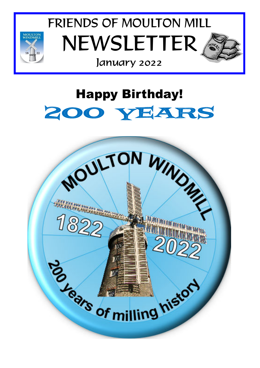

FRIENDS OF MOULTON MILL NEWSLETTER



## January 2022

# Happy Birthday! 200 YEARS

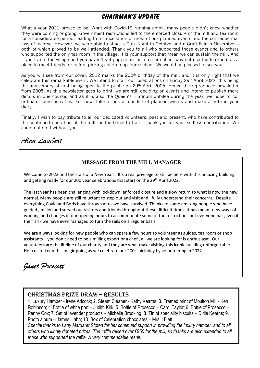### **Chairman's Update**

What a year 2021 proved to be! What with Covid-19 running amok, many people didn't know whether they were coming or going. Government restrictions led to the enforced closure of the mill and tea room for a considerable period, leading to a cancellation of most of our planned events and the consequential loss of income. However, we were able to stage a Quiz Night in October and a Craft Fair in November – both of which proved to be well attended. Thank you to all who supported those events and to others who supported the only tea room in the village. It is your support that mean we can sustain the mill. And if you live in the village and you haven't yet popped in for a tea or coffee, why not use the tea room as a place to meet friends, or before picking children up from school. We would be pleased to see you.

As you will see from our cover, 2022 marks the 200<sup>th</sup> birthday of the mill, and it is only right that we celebrate this remarkable event. We intend to start our celebrations on Friday 29th April 2022, this being the anniversary of first being open to the public on 29th April 2005. Hence the reproduced newsletter from 2005. As this newsletter goes to print, we are still deciding on events and intend to publish more details in due course, and as it is also the Queen's Platinum Jubilee during the year, we hope to coordinate some activities. For now, take a look at our list of planned events and make a note in your diary.

Finally, I wish to pay tribute to all our dedicated volunteers, past and present, who have contributed to the continued operation of the mill for the benefit of all. Thank you for your selfless contribution. We could not do it without you.

*Alan Lambert* 

#### **MESSAGE FROM THE MILL MANAGER**

Welcome to 2022 and the start of a New Year! It's a real privilege to still be here with this amazing building and getting ready for our 200 year celebrations that start on the 29th April 2022.

The last year has been challenging with lockdown, enforced closure and a slow return to what is now the new normal. Many people are still reluctant to step out and visit and I fully understand their concerns. Despite everything Covid and Boris have thrown at us we have survived. Thanks to some amazing people who have guided , milled and served our visitors and friends throughout these difficult times. It has meant new ways of working and changes in our opening hours to accommodate some of the restrictions but everyone has given it their all - we have even managed to turn the sails on a regular basis.

We are always looking for new people who can spare a few hours to volunteer as guides, tea room or shop assistants – you don't need to be a milling expert or a chef , all we are looking for is enthusiasm. Our volunteers are the lifeline of our charity and they are what make visiting this iconic building unforgettable. Help us to keep this magic going as we celebrate our 200<sup>th</sup> birthday by volunteering in 2022!

## *Janet Prescott*

#### CHRISTMAS PRIZE DRAW – RESULTS

1. Luxury Hamper - Irene Adcock; 2. Steam Cleaner - Kathy Kearns; 3. Framed print of Moulton Mill - Ken Robinson; 4' Bottle of white port – Judith Kirk; 5. Bottle of Prosecco – Carol Taylor; 6. Bottle of Prosecco – Penny Cox; 7. Set of lavender products – Michelle Brooking; 8. Tin of speciality biscuits – Didie Kearns; 9. Photo album – James Hahn; 10. Box of Celebration chocolates – Mrs J Flett

*Special thanks to Lady Margaret Stoten for her continued support in providing the luxury hamper, and to all others who kindly donated prizes. The raffle raised over £950 for the mill, so thanks are also extended to all those who supported the raffle. A very commendable result.*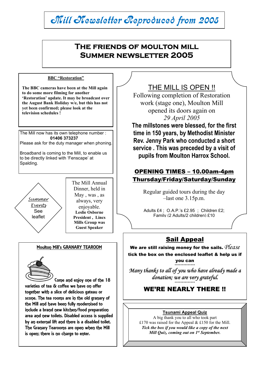#### The Mill now has its own telephone number :  **01406 373237**  Please ask for the duty manager when phoning. Broadband is coming to the Mill, to enable us to be directly linked with 'Fenscape' at Spalding. L Mill Newsletter Reproduced from 2005 **The friends of moulton mill Summer newsletter 2005**  THE MILL IS OPEN !! Following completion of Restoration work (stage one), Moulton Mill opened its doors again on *29 April 2005* **The millstones were blessed, for the first time in 150 years, by Methodist Minister Rev. Jenny Park who conducted a short service . This was preceded by a visit of pupils from Moulton Harrox School.**  OPENING TIMES – 10.00am-4pm Thursday/Friday/Saturday/Sunday Regular guided tours during the day –last one 3.15p.m. Adults £4 ; O.A.P.'s £2.95 ; Children £2; Family (2 Adults/2 children) £10 Sail Appeal We are still raising money for the sails. *Please* tick the box on the enclosed leaflet & help us if you can \*\*\*\*\*\*\*\*\*\*\*\*\*\* *Many thanks to all of you who have already made a donation; we are very grateful.*  \*\*\*\*\*\*\*\*\*\*\*\*\*\* WE'RE NEARLY THERE !! Summer Events See leaflet The Mill Annual Dinner, held in May , was , as always, very enjoyable. **Leslie Osborne President , Lincs Mills Group was Guest Speaker Tsunami Appeal Quiz**  A big thank you to all who took part £170 was raised for the Appeal & £150 for the Mill. *Tick the box if you would like a copy of the next Mill Quiz, coming out on 1st September.*  **BBC "Restoration" The BBC cameras have been at the Mill again to do some more filming for another 'Restoration' update. It may be broadcast over the August Bank Holiday w/e, but this has not yet been confirmed; please look at the television schedules !**  Moulton Mill's GRANARY TEAROOM Come and enjoy one of the 18 varieties of tea & coffee we have on offer together with a slice of delicious gateau or scone. The tea rooms are in the old granary of the Mill and have been fully modernised to include a brand new kitchen/food preparation area and new toilets. Disabled access is supplied by an external lift and there is a disabled toilet. The Granary Tearooms are open when the Mill is open; there is no charge to enter.